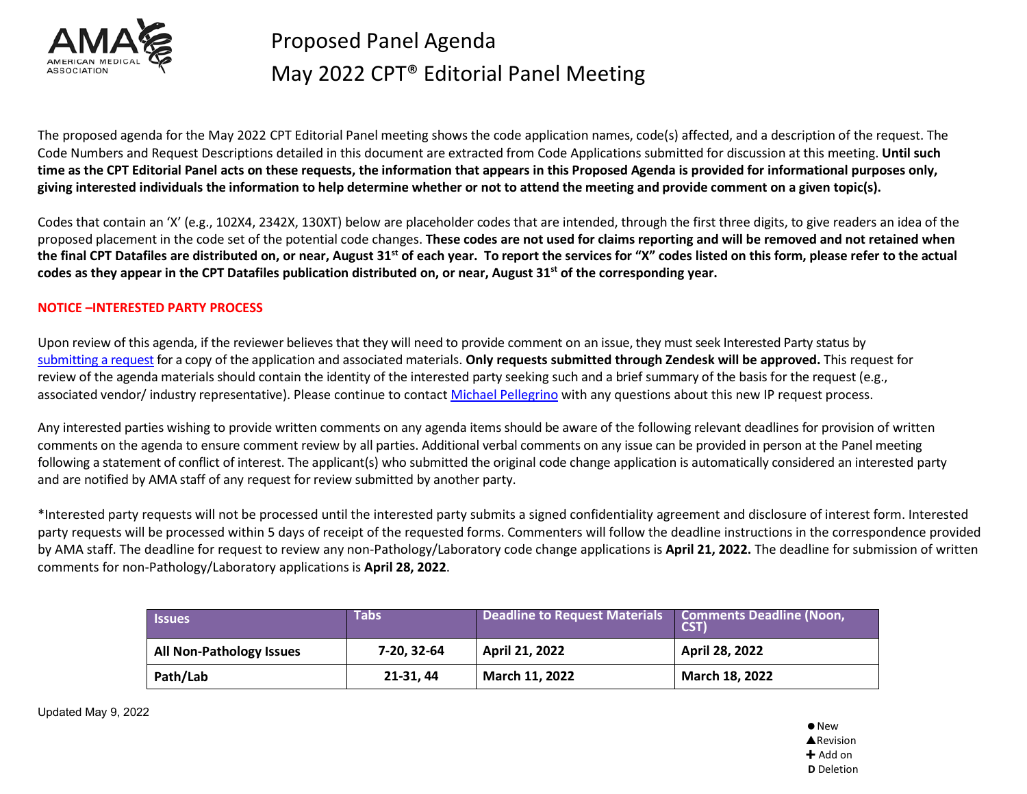

The proposed agenda for the May 2022 CPT Editorial Panel meeting shows the code application names, code(s) affected, and a description of the request. The Code Numbers and Request Descriptions detailed in this document are extracted from Code Applications submitted for discussion at this meeting. **Until such time as the CPT Editorial Panel acts on these requests, the information that appears in this Proposed Agenda is provided for informational purposes only, giving interested individuals the information to help determine whether or not to attend the meeting and provide comment on a given topic(s).**

Codes that contain an 'X' (e.g., 102X4, 2342X, 130XT) below are placeholder codes that are intended, through the first three digits, to give readers an idea of the proposed placement in the code set of the potential code changes. **These codes are not used for claims reporting and will be removed and not retained when the final CPT Datafiles are distributed on, or near, August 31st of each year. To report the services for "X" codes listed on this form, please refer to the actual codes as they appear in the CPT Datafiles publication distributed on, or near, August 31st of the corresponding year.**

#### **NOTICE –INTERESTED PARTY PROCESS**

Upon review of this agenda, if the reviewer believes that they will need to provide comment on an issue, they must seek Interested Party status by [submitting a request](https://compliance.ama-assn.org/hc/en-us/requests/new?ticket_form_id=1500001056702) for a copy of the application and associated materials. **Only requests submitted through Zendesk will be approved.** This request for review of the agenda materials should contain the identity of the interested party seeking such and a brief summary of the basis for the request (e.g., associated vendor/ industry representative). Please continue to contac[t Michael Pellegrino](mailto:michael.pellegrino@ama-assn.org) with any questions about this new IP request process.

Any interested parties wishing to provide written comments on any agenda items should be aware of the following relevant deadlines for provision of written comments on the agenda to ensure comment review by all parties. Additional verbal comments on any issue can be provided in person at the Panel meeting following a statement of conflict of interest. The applicant(s) who submitted the original code change application is automatically considered an interested party and are notified by AMA staff of any request for review submitted by another party.

\*Interested party requests will not be processed until the interested party submits a signed confidentiality agreement and disclosure of interest form. Interested party requests will be processed within 5 days of receipt of the requested forms. Commenters will follow the deadline instructions in the correspondence provided by AMA staff. The deadline for request to review any non-Pathology/Laboratory code change applications is **April 21, 2022.** The deadline for submission of written comments for non-Pathology/Laboratory applications is **April 28, 2022**.

| <b>Issues</b>                   | <b>Tabs</b> | Deadline to Request Materials | <b>Comments Deadline (Noon,</b><br>CST) |
|---------------------------------|-------------|-------------------------------|-----------------------------------------|
| <b>All Non-Pathology Issues</b> | 7-20, 32-64 | April 21, 2022                | April 28, 2022                          |
| Path/Lab                        | 21-31, 44   | March 11, 2022                | March 18, 2022                          |

Updated May 9, 2022

 $\bullet$  New **A**Revision  $+$  Add on **D** Deletion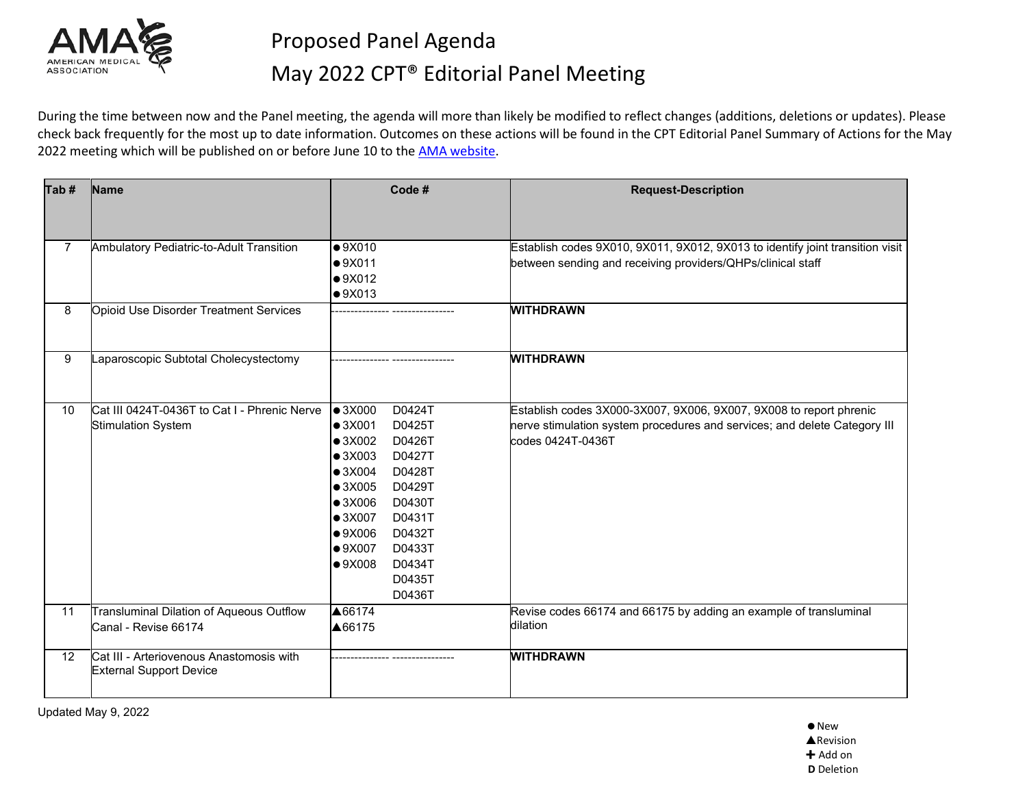

During the time between now and the Panel meeting, the agenda will more than likely be modified to reflect changes (additions, deletions or updates). Please check back frequently for the most up to date information. Outcomes on these actions will be found in the CPT Editorial Panel Summary of Actions for the May 2022 meeting which will be published on or before June 10 to the AMA [website.](https://www.ama-assn.org/about/cpt-editorial-panel/summary-panel-actions)

| Tab#         | Name                                                                       | Code #                    | <b>Request-Description</b>                                                    |
|--------------|----------------------------------------------------------------------------|---------------------------|-------------------------------------------------------------------------------|
|              |                                                                            |                           |                                                                               |
| $\mathbf{7}$ | Ambulatory Pediatric-to-Adult Transition                                   | •9X010                    | Establish codes 9X010, 9X011, 9X012, 9X013 to identify joint transition visit |
|              |                                                                            | •9X011                    | between sending and receiving providers/QHPs/clinical staff                   |
|              |                                                                            | •9X012                    |                                                                               |
|              |                                                                            | •9X013                    |                                                                               |
| 8            | Opioid Use Disorder Treatment Services                                     |                           | <b>WITHDRAWN</b>                                                              |
|              |                                                                            |                           |                                                                               |
| 9            | Laparoscopic Subtotal Cholecystectomy                                      |                           | <b>WITHDRAWN</b>                                                              |
|              |                                                                            |                           |                                                                               |
| 10           | Cat III 0424T-0436T to Cat I - Phrenic Nerve                               | $\bullet$ 3X000<br>D0424T | Establish codes 3X000-3X007, 9X006, 9X007, 9X008 to report phrenic            |
|              | <b>Stimulation System</b>                                                  | $\bullet$ 3X001<br>D0425T | nerve stimulation system procedures and services; and delete Category III     |
|              |                                                                            | $\bullet$ 3X002<br>D0426T | codes 0424T-0436T                                                             |
|              |                                                                            | $\bullet$ 3X003<br>D0427T |                                                                               |
|              |                                                                            | D0428T<br>$\bullet$ 3X004 |                                                                               |
|              |                                                                            | $\bullet$ 3X005<br>D0429T |                                                                               |
|              |                                                                            | $\bullet$ 3X006<br>D0430T |                                                                               |
|              |                                                                            | $\bullet$ 3X007<br>D0431T |                                                                               |
|              |                                                                            | •9X006<br>D0432T          |                                                                               |
|              |                                                                            | D0433T<br>•9X007          |                                                                               |
|              |                                                                            | D0434T<br>•9X008          |                                                                               |
|              |                                                                            | D0435T                    |                                                                               |
|              |                                                                            | D0436T                    |                                                                               |
| 11           | Transluminal Dilation of Aqueous Outflow                                   | ▲66174                    | Revise codes 66174 and 66175 by adding an example of transluminal             |
|              | Canal - Revise 66174                                                       | ▲66175                    | dilation                                                                      |
| 12           | Cat III - Arteriovenous Anastomosis with<br><b>External Support Device</b> |                           | <b>WITHDRAWN</b>                                                              |
|              |                                                                            |                           |                                                                               |

Updated May 9, 2022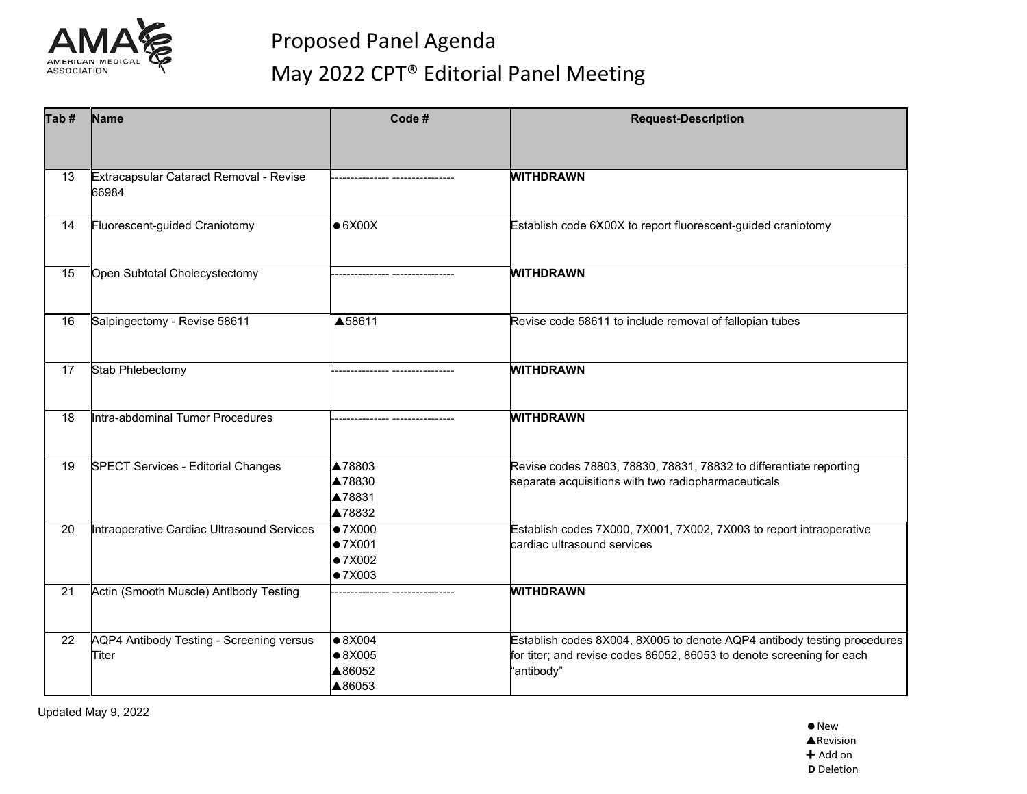

| Tab# | Name                                              | Code #                                                 | <b>Request-Description</b>                                                                                                                                     |
|------|---------------------------------------------------|--------------------------------------------------------|----------------------------------------------------------------------------------------------------------------------------------------------------------------|
|      |                                                   |                                                        |                                                                                                                                                                |
| 13   | Extracapsular Cataract Removal - Revise<br>66984  |                                                        | <b>WITHDRAWN</b>                                                                                                                                               |
| 14   | Fluorescent-guided Craniotomy                     | $\bullet$ 6X00X                                        | Establish code 6X00X to report fluorescent-guided craniotomy                                                                                                   |
| 15   | Open Subtotal Cholecystectomy                     |                                                        | <b>WITHDRAWN</b>                                                                                                                                               |
| 16   | Salpingectomy - Revise 58611                      | ▲58611                                                 | Revise code 58611 to include removal of fallopian tubes                                                                                                        |
| 17   | Stab Phlebectomy                                  |                                                        | <b>WITHDRAWN</b>                                                                                                                                               |
| 18   | Intra-abdominal Tumor Procedures                  |                                                        | <b>WITHDRAWN</b>                                                                                                                                               |
| 19   | <b>SPECT Services - Editorial Changes</b>         | ▲78803<br>▲78830<br>▲78831<br>▲78832                   | Revise codes 78803, 78830, 78831, 78832 to differentiate reporting<br>separate acquisitions with two radiopharmaceuticals                                      |
| 20   | Intraoperative Cardiac Ultrasound Services        | $\bullet$ 7X000<br>● 7X001<br>● 7X002<br>● 7X003       | Establish codes 7X000, 7X001, 7X002, 7X003 to report intraoperative<br>cardiac ultrasound services                                                             |
| 21   | Actin (Smooth Muscle) Antibody Testing            |                                                        | <b>WITHDRAWN</b>                                                                                                                                               |
| 22   | AQP4 Antibody Testing - Screening versus<br>Titer | $\bullet 8X004$<br>$\bullet$ 8X005<br>▲86052<br>▲86053 | Establish codes 8X004, 8X005 to denote AQP4 antibody testing procedures<br>for titer; and revise codes 86052, 86053 to denote screening for each<br>"antibody" |

Updated May 9, 2022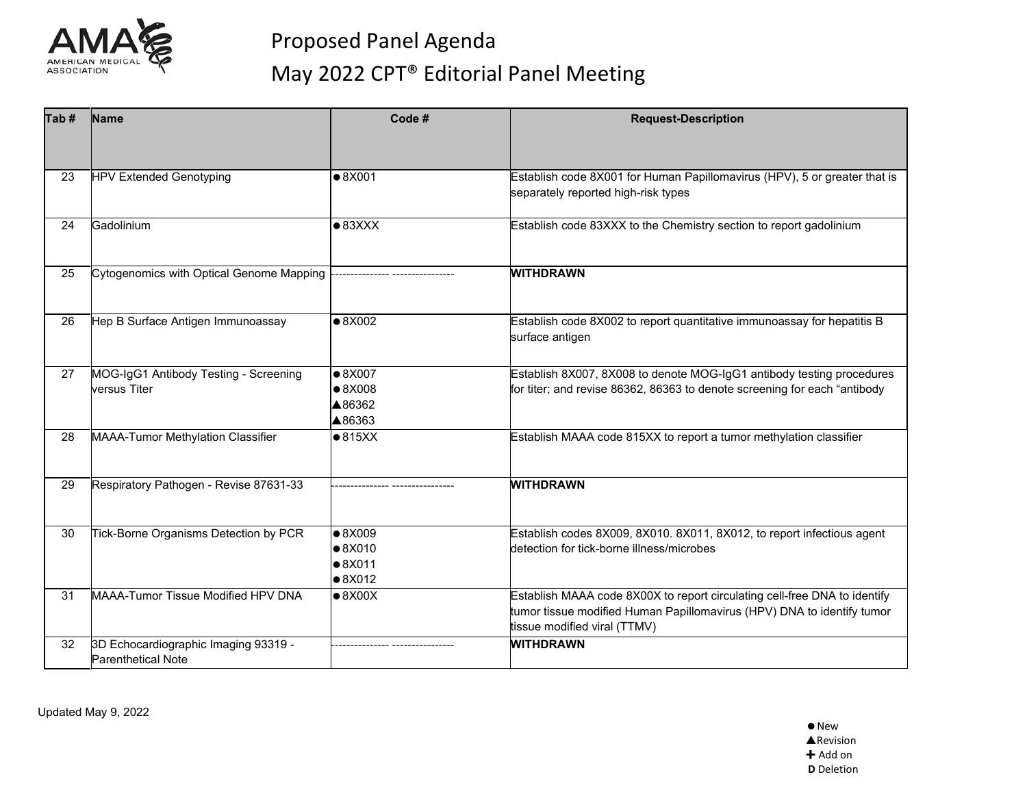

| Tab# | <b>Name</b>                                                       | Code #                    | <b>Request-Description</b>                                                |
|------|-------------------------------------------------------------------|---------------------------|---------------------------------------------------------------------------|
|      |                                                                   |                           |                                                                           |
| 23   | <b>HPV Extended Genotyping</b>                                    | $\bullet$ 8X001           | Establish code 8X001 for Human Papillomavirus (HPV), 5 or greater that is |
|      |                                                                   |                           | separately reported high-risk types                                       |
| 24   | Gadolinium                                                        | $\bullet$ 83XXX           | Establish code 83XXX to the Chemistry section to report gadolinium        |
|      |                                                                   |                           |                                                                           |
| 25   | Cytogenomics with Optical Genome Mapping                          |                           | <b>WITHDRAWN</b>                                                          |
|      |                                                                   |                           |                                                                           |
| 26   | Hep B Surface Antigen Immunoassay                                 | $\bullet 8X002$           | Establish code 8X002 to report quantitative immunoassay for hepatitis B   |
|      |                                                                   |                           | surface antigen                                                           |
| 27   | MOG-IgG1 Antibody Testing - Screening                             | $\bullet$ 8X007           | Establish 8X007, 8X008 to denote MOG-IgG1 antibody testing procedures     |
|      | versus Titer                                                      | $\bullet$ 8X008<br>▲86362 | for titer; and revise 86362, 86363 to denote screening for each "antibody |
|      |                                                                   | ▲86363                    |                                                                           |
| 28   | MAAA-Tumor Methylation Classifier                                 | $\bullet$ 815XX           | Establish MAAA code 815XX to report a tumor methylation classifier        |
|      |                                                                   |                           |                                                                           |
| 29   | Respiratory Pathogen - Revise 87631-33                            |                           | <b>WITHDRAWN</b>                                                          |
|      |                                                                   |                           |                                                                           |
| 30   | Tick-Borne Organisms Detection by PCR                             | $\bullet$ 8X009           | Establish codes 8X009, 8X010. 8X011, 8X012, to report infectious agent    |
|      |                                                                   | $\bullet$ 8X010<br>•8X011 | detection for tick-borne illness/microbes                                 |
|      |                                                                   | $\bullet$ 8X012           |                                                                           |
| 31   | MAAA-Tumor Tissue Modified HPV DNA                                | $\bullet$ 8X00X           | Establish MAAA code 8X00X to report circulating cell-free DNA to identify |
|      |                                                                   |                           | tumor tissue modified Human Papillomavirus (HPV) DNA to identify tumor    |
|      |                                                                   |                           | tissue modified viral (TTMV)                                              |
| 32   | 3D Echocardiographic Imaging 93319 -<br><b>Parenthetical Note</b> |                           | <b>WITHDRAWN</b>                                                          |
|      |                                                                   |                           |                                                                           |

Updated May 9, 2022

 $\bullet$  New **A**Revision + Add on **D** Deletion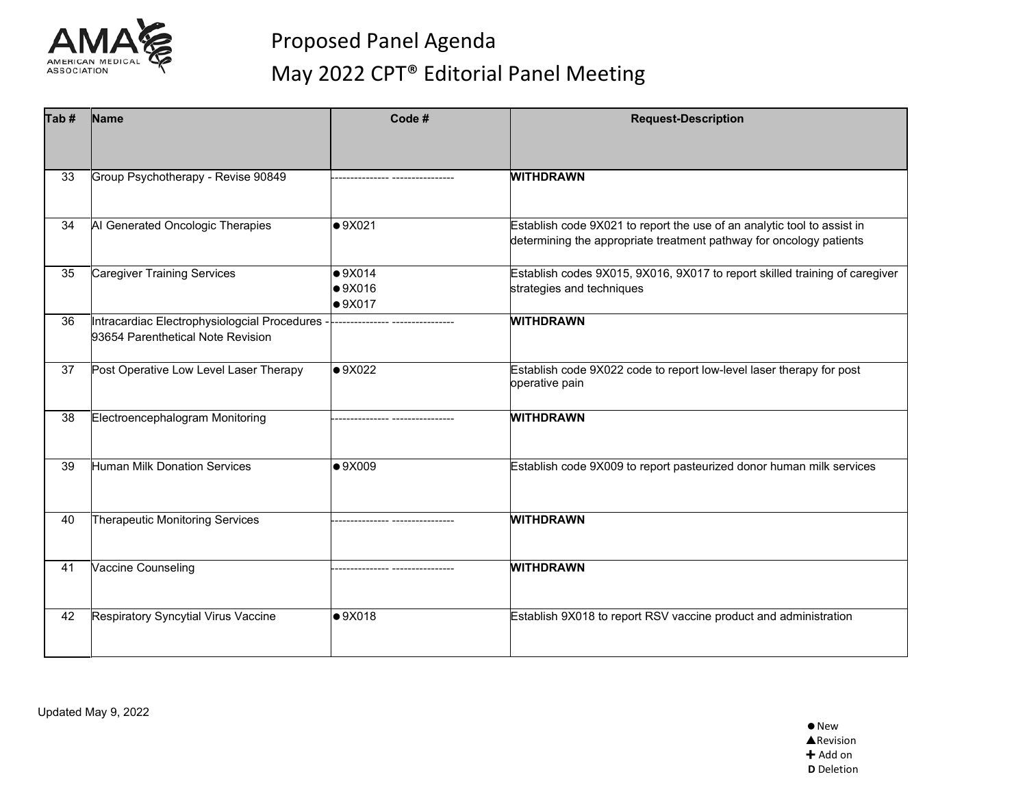

| Tab# | Name                                                                              | Code #          | <b>Request-Description</b>                                                  |
|------|-----------------------------------------------------------------------------------|-----------------|-----------------------------------------------------------------------------|
|      |                                                                                   |                 |                                                                             |
| 33   | Group Psychotherapy - Revise 90849                                                |                 | <b>WITHDRAWN</b>                                                            |
|      |                                                                                   |                 |                                                                             |
| 34   | Al Generated Oncologic Therapies                                                  | •9X021          | Establish code 9X021 to report the use of an analytic tool to assist in     |
|      |                                                                                   |                 | determining the appropriate treatment pathway for oncology patients         |
| 35   | <b>Caregiver Training Services</b>                                                | •9X014          | Establish codes 9X015, 9X016, 9X017 to report skilled training of caregiver |
|      |                                                                                   | $\bullet$ 9X016 | strategies and techniques                                                   |
|      |                                                                                   | $\bullet$ 9X017 | <b>WITHDRAWN</b>                                                            |
| 36   | Intracardiac Electrophysiologcial Procedures<br>93654 Parenthetical Note Revision |                 |                                                                             |
| 37   | Post Operative Low Level Laser Therapy                                            | $\bullet$ 9X022 | Establish code 9X022 code to report low-level laser therapy for post        |
|      |                                                                                   |                 | operative pain                                                              |
| 38   | Electroencephalogram Monitoring                                                   |                 | <b>WITHDRAWN</b>                                                            |
|      |                                                                                   |                 |                                                                             |
| 39   | <b>Human Milk Donation Services</b>                                               | •9X009          | Establish code 9X009 to report pasteurized donor human milk services        |
|      |                                                                                   |                 |                                                                             |
| 40   | Therapeutic Monitoring Services                                                   |                 | <b>WITHDRAWN</b>                                                            |
|      |                                                                                   |                 |                                                                             |
| 41   | Vaccine Counseling                                                                |                 | <b>WITHDRAWN</b>                                                            |
|      |                                                                                   |                 |                                                                             |
| 42   | <b>Respiratory Syncytial Virus Vaccine</b>                                        | •9X018          | Establish 9X018 to report RSV vaccine product and administration            |
|      |                                                                                   |                 |                                                                             |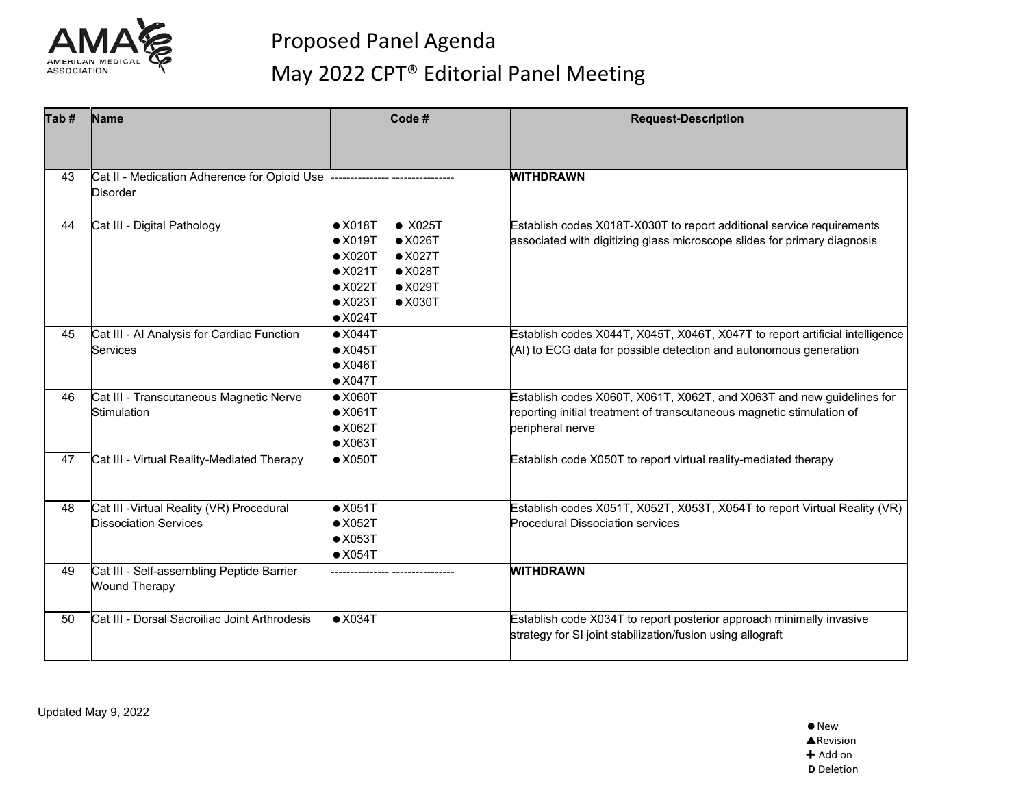

| Tab# | Name                                                                      | Code #                                                                                                                                                                                                                                              | <b>Request-Description</b>                                                                                                                                         |
|------|---------------------------------------------------------------------------|-----------------------------------------------------------------------------------------------------------------------------------------------------------------------------------------------------------------------------------------------------|--------------------------------------------------------------------------------------------------------------------------------------------------------------------|
|      |                                                                           |                                                                                                                                                                                                                                                     |                                                                                                                                                                    |
| 43   | Cat II - Medication Adherence for Opioid Use<br><b>Disorder</b>           |                                                                                                                                                                                                                                                     | <b>WITHDRAWN</b>                                                                                                                                                   |
| 44   | Cat III - Digital Pathology                                               | $\bullet$ X025T<br>$\bullet$ X018T<br>$\bullet$ X019T<br>$\bullet$ X026T<br>$\bullet$ X020T<br>$\bullet$ X027T<br>$\bullet$ X028T<br>$\bullet$ X021T<br>$\bullet$ X022T<br>$\bullet$ X029T<br>$\bullet$ X023T<br>$\bullet$ X030T<br>$\bullet$ X024T | Establish codes X018T-X030T to report additional service requirements<br>associated with digitizing glass microscope slides for primary diagnosis                  |
| 45   | Cat III - Al Analysis for Cardiac Function<br>Services                    | $\bullet$ X044T<br>$\bullet$ X045T<br>$\bullet$ X046T<br>$\bullet$ X047T                                                                                                                                                                            | Establish codes X044T, X045T, X046T, X047T to report artificial intelligence<br>(AI) to ECG data for possible detection and autonomous generation                  |
| 46   | Cat III - Transcutaneous Magnetic Nerve<br>Stimulation                    | $\bullet$ X060T<br>$\bullet$ X061T<br>$\bullet$ X062T<br>$\bullet$ X063T                                                                                                                                                                            | Establish codes X060T, X061T, X062T, and X063T and new guidelines for<br>reporting initial treatment of transcutaneous magnetic stimulation of<br>peripheral nerve |
| 47   | Cat III - Virtual Reality-Mediated Therapy                                | $\bullet$ X050T                                                                                                                                                                                                                                     | Establish code X050T to report virtual reality-mediated therapy                                                                                                    |
| 48   | Cat III - Virtual Reality (VR) Procedural<br><b>Dissociation Services</b> | $\bullet$ X051T<br>$\bullet$ X052T<br>$\bullet$ X053T<br>$\bullet$ X054T                                                                                                                                                                            | Establish codes X051T, X052T, X053T, X054T to report Virtual Reality (VR)<br><b>Procedural Dissociation services</b>                                               |
| 49   | Cat III - Self-assembling Peptide Barrier<br><b>Wound Therapy</b>         |                                                                                                                                                                                                                                                     | <b>WITHDRAWN</b>                                                                                                                                                   |
| 50   | Cat III - Dorsal Sacroiliac Joint Arthrodesis                             | $\bullet$ X034T                                                                                                                                                                                                                                     | Establish code X034T to report posterior approach minimally invasive<br>strategy for SI joint stabilization/fusion using allograft                                 |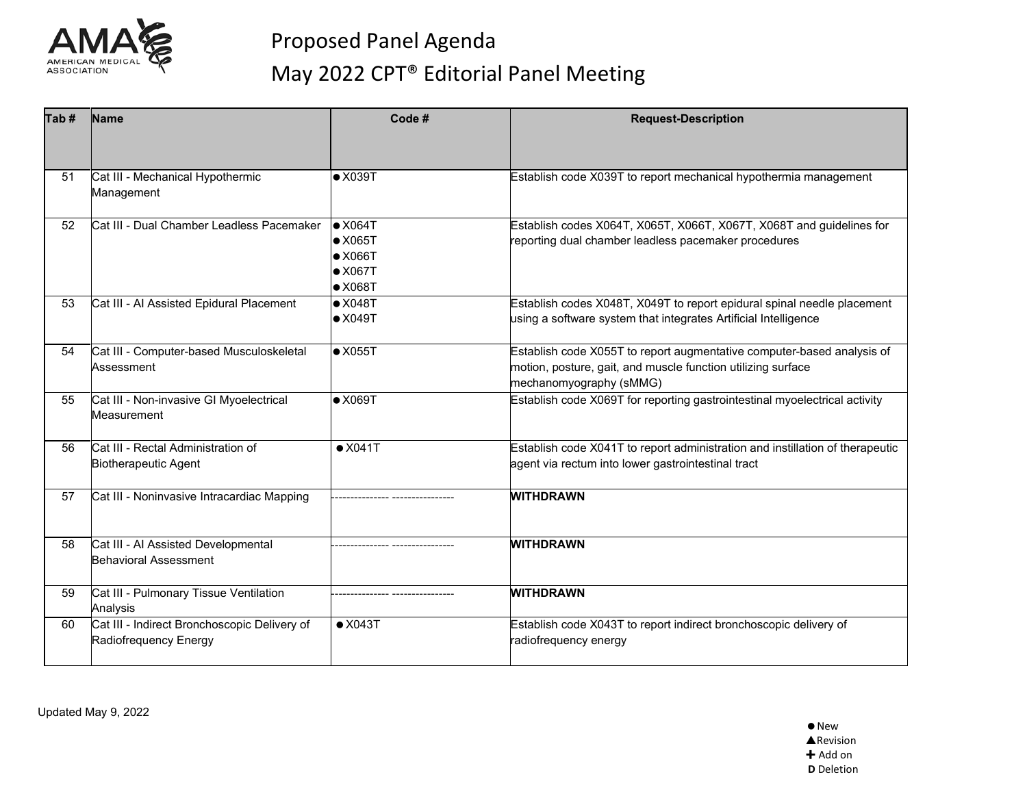

| Tab# | <b>Name</b>                                                           | Code #                                                                                      | <b>Request-Description</b>                                                                                                                                        |
|------|-----------------------------------------------------------------------|---------------------------------------------------------------------------------------------|-------------------------------------------------------------------------------------------------------------------------------------------------------------------|
|      |                                                                       |                                                                                             |                                                                                                                                                                   |
| 51   | Cat III - Mechanical Hypothermic<br>Management                        | $\bullet$ X039T                                                                             | Establish code X039T to report mechanical hypothermia management                                                                                                  |
| 52   | Cat III - Dual Chamber Leadless Pacemaker                             | $\bullet$ X064T<br>$\bullet$ X065T<br>$\bullet$ X066T<br>$\bullet$ X067T<br>$\bullet$ X068T | Establish codes X064T, X065T, X066T, X067T, X068T and guidelines for<br>reporting dual chamber leadless pacemaker procedures                                      |
| 53   | Cat III - Al Assisted Epidural Placement                              | $\bullet$ X048T<br>$\bullet$ X049T                                                          | Establish codes X048T, X049T to report epidural spinal needle placement<br>using a software system that integrates Artificial Intelligence                        |
| 54   | Cat III - Computer-based Musculoskeletal<br>Assessment                | $\bullet$ X055T                                                                             | Establish code X055T to report augmentative computer-based analysis of<br>motion, posture, gait, and muscle function utilizing surface<br>mechanomyography (sMMG) |
| 55   | Cat III - Non-invasive GI Myoelectrical<br>Measurement                | $\bullet$ X069T                                                                             | Establish code X069T for reporting gastrointestinal myoelectrical activity                                                                                        |
| 56   | Cat III - Rectal Administration of<br><b>Biotherapeutic Agent</b>     | $\bullet$ X041T                                                                             | Establish code X041T to report administration and instillation of therapeutic<br>agent via rectum into lower gastrointestinal tract                               |
| 57   | Cat III - Noninvasive Intracardiac Mapping                            |                                                                                             | <b>WITHDRAWN</b>                                                                                                                                                  |
| 58   | Cat III - Al Assisted Developmental<br><b>Behavioral Assessment</b>   |                                                                                             | <b>WITHDRAWN</b>                                                                                                                                                  |
| 59   | Cat III - Pulmonary Tissue Ventilation<br>Analysis                    |                                                                                             | <b>WITHDRAWN</b>                                                                                                                                                  |
| 60   | Cat III - Indirect Bronchoscopic Delivery of<br>Radiofrequency Energy | $\bullet$ X043T                                                                             | Establish code X043T to report indirect bronchoscopic delivery of<br>radiofrequency energy                                                                        |

Updated May 9, 2022